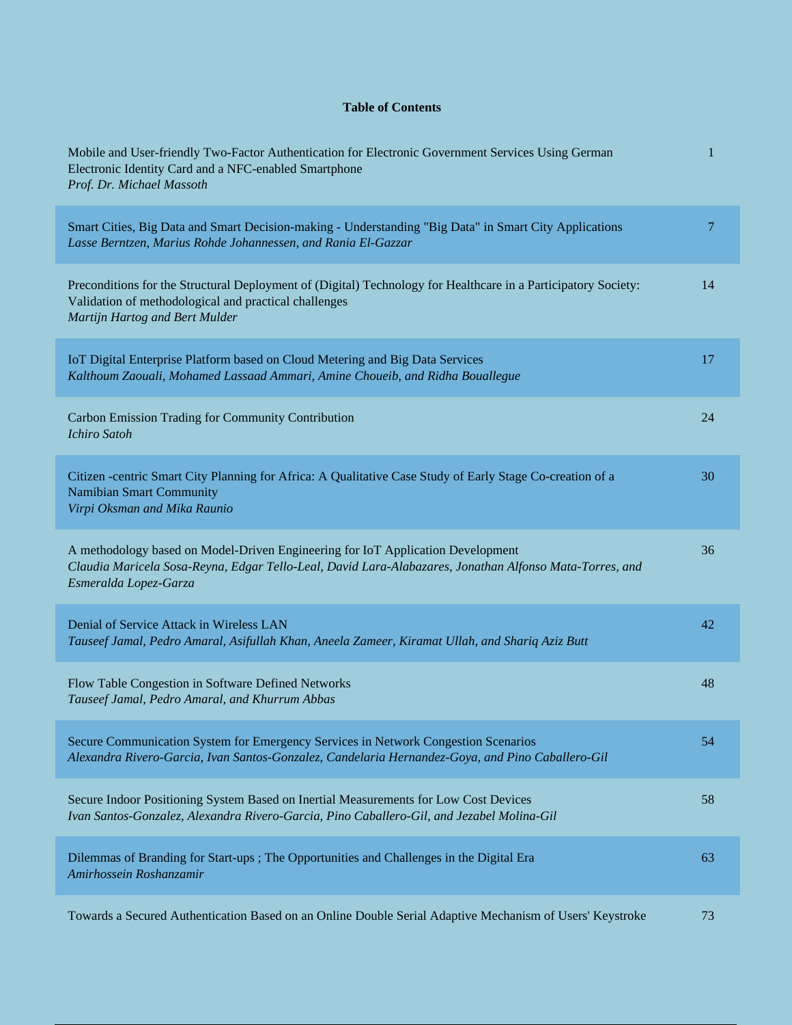## **Table of Contents**

| Mobile and User-friendly Two-Factor Authentication for Electronic Government Services Using German<br>Electronic Identity Card and a NFC-enabled Smartphone<br>Prof. Dr. Michael Massoth                            | 1              |
|---------------------------------------------------------------------------------------------------------------------------------------------------------------------------------------------------------------------|----------------|
| Smart Cities, Big Data and Smart Decision-making - Understanding "Big Data" in Smart City Applications<br>Lasse Berntzen, Marius Rohde Johannessen, and Rania El-Gazzar                                             | $\overline{7}$ |
| Preconditions for the Structural Deployment of (Digital) Technology for Healthcare in a Participatory Society:<br>Validation of methodological and practical challenges<br>Martijn Hartog and Bert Mulder           | 14             |
| IoT Digital Enterprise Platform based on Cloud Metering and Big Data Services<br>Kalthoum Zaouali, Mohamed Lassaad Ammari, Amine Choueib, and Ridha Bouallegue                                                      | 17             |
| Carbon Emission Trading for Community Contribution<br><b>Ichiro Satoh</b>                                                                                                                                           | 24             |
| Citizen -centric Smart City Planning for Africa: A Qualitative Case Study of Early Stage Co-creation of a<br><b>Namibian Smart Community</b><br>Virpi Oksman and Mika Raunio                                        | 30             |
| A methodology based on Model-Driven Engineering for IoT Application Development<br>Claudia Maricela Sosa-Reyna, Edgar Tello-Leal, David Lara-Alabazares, Jonathan Alfonso Mata-Torres, and<br>Esmeralda Lopez-Garza | 36             |
| Denial of Service Attack in Wireless LAN<br>Tauseef Jamal, Pedro Amaral, Asifullah Khan, Aneela Zameer, Kiramat Ullah, and Shariq Aziz Butt                                                                         | 42             |
| Flow Table Congestion in Software Defined Networks<br>Tauseef Jamal, Pedro Amaral, and Khurrum Abbas                                                                                                                | 48             |
| Secure Communication System for Emergency Services in Network Congestion Scenarios<br>Alexandra Rivero-Garcia, Ivan Santos-Gonzalez, Candelaria Hernandez-Goya, and Pino Caballero-Gil                              | 54             |
| Secure Indoor Positioning System Based on Inertial Measurements for Low Cost Devices<br>Ivan Santos-Gonzalez, Alexandra Rivero-Garcia, Pino Caballero-Gil, and Jezabel Molina-Gil                                   | 58             |
| Dilemmas of Branding for Start-ups ; The Opportunities and Challenges in the Digital Era<br>Amirhossein Roshanzamir                                                                                                 | 63             |
| Towards a Secured Authentication Based on an Online Double Serial Adaptive Mechanism of Users' Keystroke                                                                                                            | 73             |